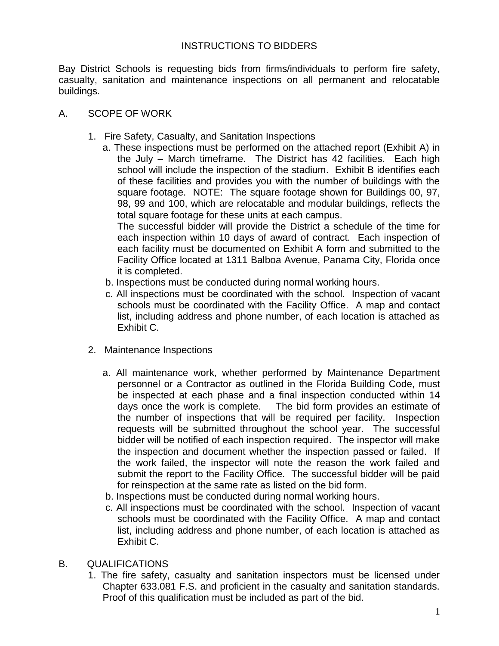# INSTRUCTIONS TO BIDDERS

Bay District Schools is requesting bids from firms/individuals to perform fire safety, casualty, sanitation and maintenance inspections on all permanent and relocatable buildings.

- A. SCOPE OF WORK
	- 1. Fire Safety, Casualty, and Sanitation Inspections
		- a. These inspections must be performed on the attached report (Exhibit A) in the July – March timeframe. The District has 42 facilities. Each high school will include the inspection of the stadium. Exhibit B identifies each of these facilities and provides you with the number of buildings with the square footage. NOTE: The square footage shown for Buildings 00, 97, 98, 99 and 100, which are relocatable and modular buildings, reflects the total square footage for these units at each campus.

The successful bidder will provide the District a schedule of the time for each inspection within 10 days of award of contract. Each inspection of each facility must be documented on Exhibit A form and submitted to the Facility Office located at 1311 Balboa Avenue, Panama City, Florida once it is completed.

- b. Inspections must be conducted during normal working hours.
- c. All inspections must be coordinated with the school. Inspection of vacant schools must be coordinated with the Facility Office. A map and contact list, including address and phone number, of each location is attached as Exhibit C.
- 2. Maintenance Inspections
	- a. All maintenance work, whether performed by Maintenance Department personnel or a Contractor as outlined in the Florida Building Code, must be inspected at each phase and a final inspection conducted within 14 days once the work is complete. The bid form provides an estimate of the number of inspections that will be required per facility. Inspection requests will be submitted throughout the school year. The successful bidder will be notified of each inspection required. The inspector will make the inspection and document whether the inspection passed or failed. If the work failed, the inspector will note the reason the work failed and submit the report to the Facility Office. The successful bidder will be paid for reinspection at the same rate as listed on the bid form.
	- b. Inspections must be conducted during normal working hours.
	- c. All inspections must be coordinated with the school. Inspection of vacant schools must be coordinated with the Facility Office. A map and contact list, including address and phone number, of each location is attached as Exhibit C.
- B. QUALIFICATIONS
	- 1. The fire safety, casualty and sanitation inspectors must be licensed under Chapter 633.081 F.S. and proficient in the casualty and sanitation standards. Proof of this qualification must be included as part of the bid.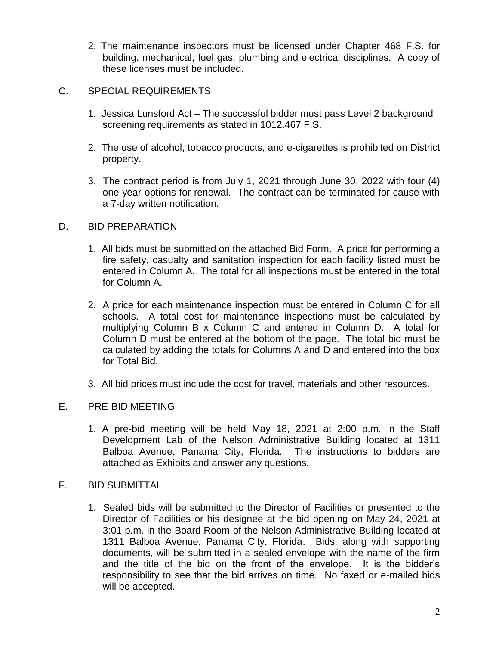2. The maintenance inspectors must be licensed under Chapter 468 F.S. for building, mechanical, fuel gas, plumbing and electrical disciplines. A copy of these licenses must be included.

# C. SPECIAL REQUIREMENTS

- 1. Jessica Lunsford Act The successful bidder must pass Level 2 background screening requirements as stated in 1012.467 F.S.
- 2. The use of alcohol, tobacco products, and e-cigarettes is prohibited on District property.
- 3. The contract period is from July 1, 2021 through June 30, 2022 with four (4) one-year options for renewal. The contract can be terminated for cause with a 7-day written notification.

## D. BID PREPARATION

- 1. All bids must be submitted on the attached Bid Form. A price for performing a fire safety, casualty and sanitation inspection for each facility listed must be entered in Column A. The total for all inspections must be entered in the total for Column A.
- 2. A price for each maintenance inspection must be entered in Column C for all schools. A total cost for maintenance inspections must be calculated by multiplying Column B x Column C and entered in Column D. A total for Column D must be entered at the bottom of the page. The total bid must be calculated by adding the totals for Columns A and D and entered into the box for Total Bid.
- 3. All bid prices must include the cost for travel, materials and other resources.

# E. PRE-BID MEETING

- 1. A pre-bid meeting will be held May 18, 2021 at 2:00 p.m. in the Staff Development Lab of the Nelson Administrative Building located at 1311 Balboa Avenue, Panama City, Florida. The instructions to bidders are attached as Exhibits and answer any questions.
- F. BID SUBMITTAL
	- 1. Sealed bids will be submitted to the Director of Facilities or presented to the Director of Facilities or his designee at the bid opening on May 24, 2021 at 3:01 p.m. in the Board Room of the Nelson Administrative Building located at 1311 Balboa Avenue, Panama City, Florida. Bids, along with supporting documents, will be submitted in a sealed envelope with the name of the firm and the title of the bid on the front of the envelope. It is the bidder's responsibility to see that the bid arrives on time. No faxed or e-mailed bids will be accepted.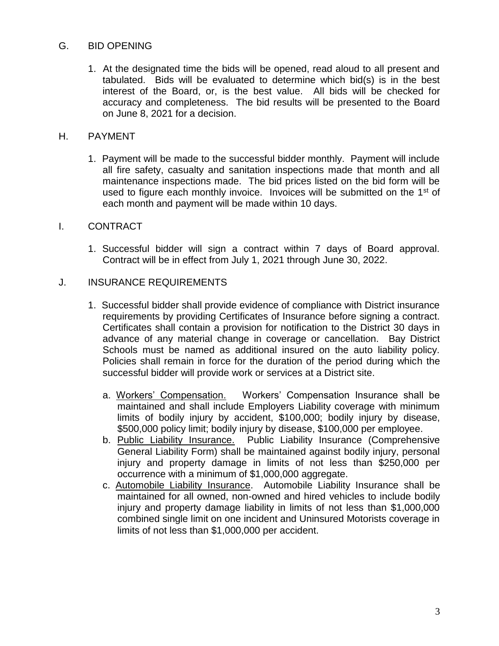# G. BID OPENING

1. At the designated time the bids will be opened, read aloud to all present and tabulated. Bids will be evaluated to determine which bid(s) is in the best interest of the Board, or, is the best value. All bids will be checked for accuracy and completeness. The bid results will be presented to the Board on June 8, 2021 for a decision.

#### H. PAYMENT

1. Payment will be made to the successful bidder monthly. Payment will include all fire safety, casualty and sanitation inspections made that month and all maintenance inspections made. The bid prices listed on the bid form will be used to figure each monthly invoice. Invoices will be submitted on the 1<sup>st</sup> of each month and payment will be made within 10 days.

## I. CONTRACT

1. Successful bidder will sign a contract within 7 days of Board approval. Contract will be in effect from July 1, 2021 through June 30, 2022.

## J. INSURANCE REQUIREMENTS

- 1. Successful bidder shall provide evidence of compliance with District insurance requirements by providing Certificates of Insurance before signing a contract. Certificates shall contain a provision for notification to the District 30 days in advance of any material change in coverage or cancellation. Bay District Schools must be named as additional insured on the auto liability policy. Policies shall remain in force for the duration of the period during which the successful bidder will provide work or services at a District site.
	- a. Workers' Compensation. Workers' Compensation Insurance shall be maintained and shall include Employers Liability coverage with minimum limits of bodily injury by accident, \$100,000; bodily injury by disease, \$500,000 policy limit; bodily injury by disease, \$100,000 per employee.
	- b. Public Liability Insurance. Public Liability Insurance (Comprehensive General Liability Form) shall be maintained against bodily injury, personal injury and property damage in limits of not less than \$250,000 per occurrence with a minimum of \$1,000,000 aggregate.
	- c. Automobile Liability Insurance. Automobile Liability Insurance shall be maintained for all owned, non-owned and hired vehicles to include bodily injury and property damage liability in limits of not less than \$1,000,000 combined single limit on one incident and Uninsured Motorists coverage in limits of not less than \$1,000,000 per accident.